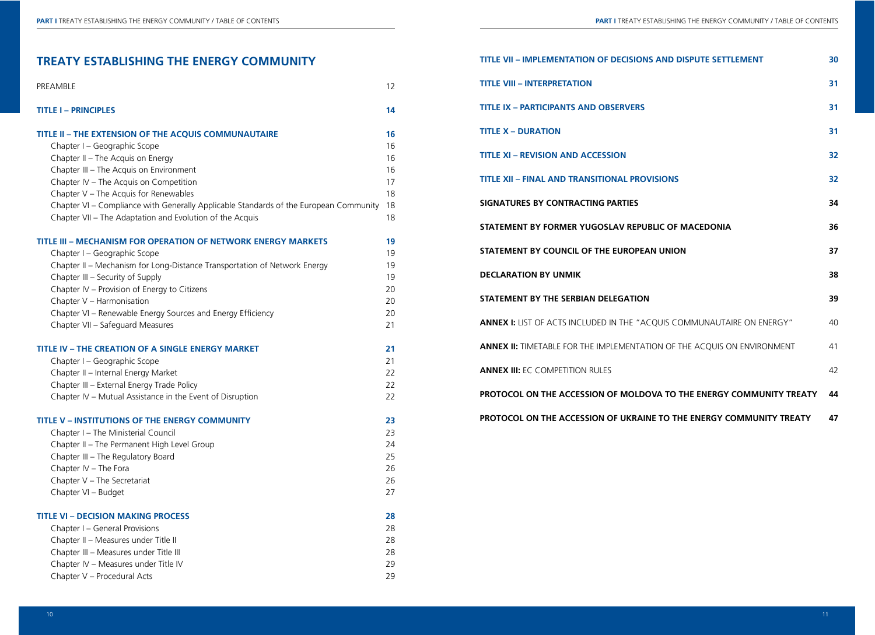# **TREATY ESTABLISHING THE ENERGY COMMUNITY**

| PREAMBLE                                                                              | 12 |
|---------------------------------------------------------------------------------------|----|
| <b>TITLE I - PRINCIPLES</b>                                                           | 14 |
| TITLE II - THE EXTENSION OF THE ACQUIS COMMUNAUTAIRE                                  | 16 |
| Chapter I - Geographic Scope                                                          | 16 |
| Chapter II - The Acquis on Energy                                                     | 16 |
| Chapter III - The Acquis on Environment                                               | 16 |
| Chapter IV - The Acquis on Competition                                                | 17 |
| Chapter V - The Acquis for Renewables                                                 | 18 |
| Chapter VI - Compliance with Generally Applicable Standards of the European Community | 18 |
| Chapter VII - The Adaptation and Evolution of the Acquis                              | 18 |
| TITLE III - MECHANISM FOR OPERATION OF NETWORK ENERGY MARKETS                         | 19 |
| Chapter I – Geographic Scope                                                          | 19 |
| Chapter II - Mechanism for Long-Distance Transportation of Network Energy             | 19 |
| Chapter III - Security of Supply                                                      | 19 |
| Chapter IV - Provision of Energy to Citizens                                          | 20 |
| Chapter V - Harmonisation                                                             | 20 |
| Chapter VI - Renewable Energy Sources and Energy Efficiency                           | 20 |
| Chapter VII - Safeguard Measures                                                      | 21 |
| TITLE IV - THE CREATION OF A SINGLE ENERGY MARKET                                     | 21 |
| Chapter I – Geographic Scope                                                          | 21 |
| Chapter II - Internal Energy Market                                                   | 22 |
| Chapter III - External Energy Trade Policy                                            | 22 |
| Chapter IV – Mutual Assistance in the Event of Disruption                             | 22 |
| TITLE V - INSTITUTIONS OF THE ENERGY COMMUNITY                                        | 23 |
| Chapter I - The Ministerial Council                                                   | 23 |
| Chapter II - The Permanent High Level Group                                           | 24 |
| Chapter III - The Regulatory Board                                                    | 25 |
| Chapter IV - The Fora                                                                 | 26 |
| Chapter V - The Secretariat                                                           | 26 |
| Chapter VI - Budget                                                                   | 27 |
| <b>TITLE VI - DECISION MAKING PROCESS</b>                                             | 28 |
| Chapter I - General Provisions                                                        | 28 |
| Chapter II - Measures under Title II                                                  | 28 |
| Chapter III - Measures under Title III                                                | 28 |
| Chapter IV - Measures under Title IV                                                  | 29 |
| Chapter V - Procedural Acts                                                           | 29 |

| TITLE VII - IMPLEMENTATION OF DECISIONS AND DISPUTE SETTLEMENT                 | 30 |
|--------------------------------------------------------------------------------|----|
| <b>TITLE VIII - INTERPRETATION</b>                                             | 31 |
| <b>TITLE IX - PARTICIPANTS AND OBSERVERS</b>                                   | 31 |
| <b>TITLE X - DURATION</b>                                                      | 31 |
| <b>TITLE XI - REVISION AND ACCESSION</b>                                       | 32 |
| <b>TITLE XII - FINAL AND TRANSITIONAL PROVISIONS</b>                           | 32 |
| <b>SIGNATURES BY CONTRACTING PARTIES</b>                                       | 34 |
| STATEMENT BY FORMER YUGOSLAV REPUBLIC OF MACEDONIA                             | 36 |
| STATEMENT BY COUNCIL OF THE EUROPEAN UNION                                     | 37 |
| <b>DECLARATION BY UNMIK</b>                                                    | 38 |
| STATEMENT BY THE SERBIAN DELEGATION                                            | 39 |
| ANNEX I: LIST OF ACTS INCLUDED IN THE "ACQUIS COMMUNAUTAIRE ON ENERGY"         | 40 |
| <b>ANNEX II:</b> TIMETABLE FOR THE IMPLEMENTATION OF THE ACQUIS ON ENVIRONMENT | 41 |
| <b>ANNEX III: EC COMPETITION RULES</b>                                         | 42 |
| PROTOCOL ON THE ACCESSION OF MOLDOVA TO THE ENERGY COMMUNITY TREATY            | 44 |
| PROTOCOL ON THE ACCESSION OF UKRAINE TO THE ENERGY COMMUNITY TREATY            | 47 |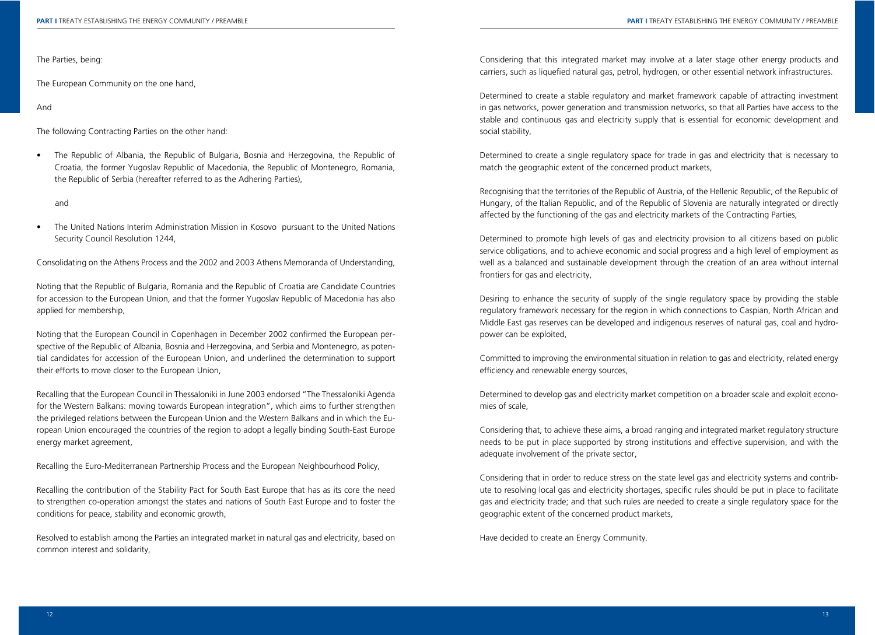The Parties, being:

The European Community on the one hand,

And

The following Contracting Parties on the other hand:

The Republic of Albania, the Republic of Bulgaria, Bosnia and Herzegovina, the Republic of Croatia, the former Yugoslav Republic of Macedonia, the Republic of Montenegro, Romania, the Republic of Serbia (hereafter referred to as the Adhering Parties),

and

l The United Nations Interim Administration Mission in Kosovo pursuant to the United Nations Security Council Resolution 1244,

Consolidating on the Athens Process and the 2002 and 2003 Athens Memoranda of Understanding,

Noting that the Republic of Bulgaria, Romania and the Republic of Croatia are Candidate Countries for accession to the European Union, and that the former Yugoslav Republic of Macedonia has also applied for membership,

-Noting that the European Council in Copenhagen in December 2002 confirmed the European perspective of the Republic of Albania, Bosnia and Herzegovina, and Serbia and Montenegro, as potential candidates for accession of the European Union, and underlined the determination to support their efforts to move closer to the European Union,

Recalling that the European Council in Thessaloniki in June 2003 endorsed "The Thessaloniki Agenda for the Western Balkans: moving towards European integration", which aims to further strengthen the privileged relations between the European Union and the Western Balkans and in which the European Union encouraged the countries of the region to adopt a legally binding South-East Europe energy market agreement,

Recalling the Euro-Mediterranean Partnership Process and the European Neighbourhood Policy,

Recalling the contribution of the Stability Pact for South East Europe that has as its core the need to strengthen co-operation amongst the states and nations of South East Europe and to foster the conditions for peace, stability and economic growth,

Resolved to establish among the Parties an integrated market in natural gas and electricity, based on common interest and solidarity,

Considering that this integrated market may involve at a later stage other energy products and carriers, such as liquefied natural gas, petrol, hydrogen, or other essential network infrastructures.

Determined to create a stable regulatory and market framework capable of attracting investment in gas networks, power generation and transmission networks, so that all Parties have access to the stable and continuous gas and electricity supply that is essential for economic development and social stability,

Determined to create a single regulatory space for trade in gas and electricity that is necessary to match the geographic extent of the concerned product markets,

Recognising that the territories of the Republic of Austria, of the Hellenic Republic, of the Republic of Hungary, of the Italian Republic, and of the Republic of Slovenia are naturally integrated or directly affected by the functioning of the gas and electricity markets of the Contracting Parties,

Determined to promote high levels of gas and electricity provision to all citizens based on public service obligations, and to achieve economic and social progress and a high level of employment as well as a balanced and sustainable development through the creation of an area without internal frontiers for gas and electricity,

Desiring to enhance the security of supply of the single regulatory space by providing the stable regulatory framework necessary for the region in which connections to Caspian, North African and Middle East gas reserves can be developed and indigenous reserves of natural gas, coal and hydropower can be exploited,

Committed to improving the environmental situation in relation to gas and electricity, related energy efficiency and renewable energy sources,

Determined to develop gas and electricity market competition on a broader scale and exploit economies of scale,

Considering that, to achieve these aims, a broad ranging and integrated market regulatory structure needs to be put in place supported by strong institutions and effective supervision, and with the adequate involvement of the private sector,

Considering that in order to reduce stress on the state level gas and electricity systems and contribute to resolving local gas and electricity shortages, specific rules should be put in place to facilitate gas and electricity trade; and that such rules are needed to create a single regulatory space for the geographic extent of the concerned product markets,

Have decided to create an Energy Community.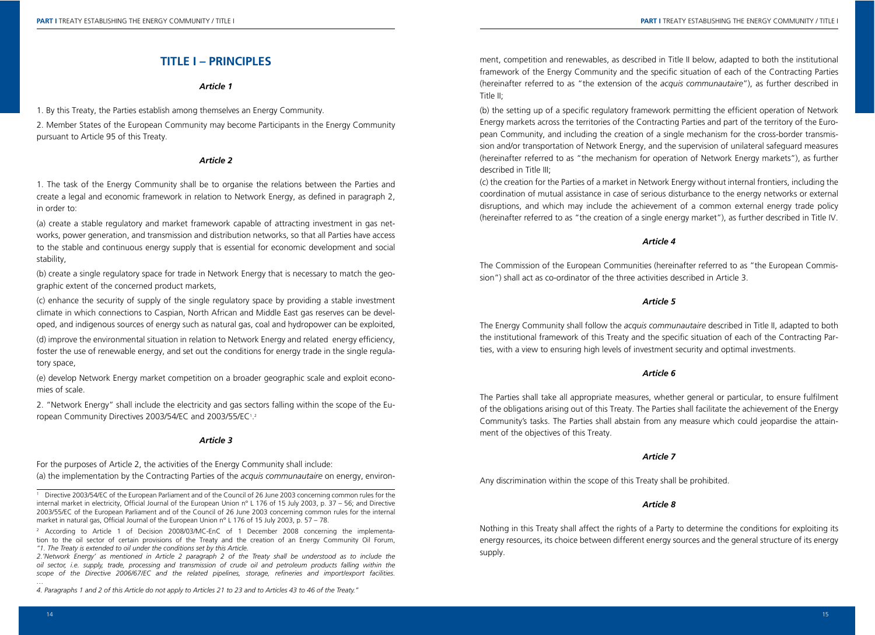# **TITLE I – PRINCIPLES**

#### *Article 1*

1. By this Treaty, the Parties establish among themselves an Energy Community.

2. Member States of the European Community may become Participants in the Energy Community pursuant to Article 95 of this Treaty.

#### *Article 2*

1. The task of the Energy Community shall be to organise the relations between the Parties and create a legal and economic framework in relation to Network Energy, as defined in paragraph 2, in order to:

(a) create a stable regulatory and market framework capable of attracting investment in gas networks, power generation, and transmission and distribution networks, so that all Parties have access to the stable and continuous energy supply that is essential for economic development and social stability,

(b) create a single regulatory space for trade in Network Energy that is necessary to match the geographic extent of the concerned product markets,

(c) enhance the security of supply of the single regulatory space by providing a stable investment climate in which connections to Caspian, North African and Middle East gas reserves can be developed, and indigenous sources of energy such as natural gas, coal and hydropower can be exploited,

(d) improve the environmental situation in relation to Network Energy and related energy efficiency, foster the use of renewable energy, and set out the conditions for energy trade in the single regulatory space,

(e) develop Network Energy market competition on a broader geographic scale and exploit economies of scale.

2. "Network Energy" shall include the electricity and gas sectors falling within the scope of the European Community Directives 2003/54/EC and 2003/55/EC1.2

#### *Article 3*

For the purposes of Article 2, the activities of the Energy Community shall include: (a) the implementation by the Contracting Parties of the *acquis communautaire* on energy, environ-

<sup>1</sup> Directive 2003/54/EC of the European Parliament and of the Council of 26 June 2003 concerning common rules for the internal market in electricity, Official Journal of the European Union n° L 176 of 15 July 2003, p.  $37 - 56$ ; and Directive 2003/55/EC of the European Parliament and of the Council of 26 June 2003 concerning common rules for the internal market in natural gas, Official Journal of the European Union n° L 176 of 15 July 2003, p. 57 – 78.

<sup>2</sup> According to Article 1 of Decision 2008/03/MC-EnC of 1 December 2008 concerning the implementation to the oil sector of certain provisions of the Treaty and the creation of an Energy Community Oil Forum, *"1. The Treaty is extended to oil under the conditions set by this Article.* 

*2.'Network Energy' as mentioned in Article 2 paragraph 2 of the Treaty shall be understood as to include the oil sector, i.e. supply, trade, processing and transmission of crude oil and petroleum products falling within the*  scope of the Directive 2006/67/EC and the related pipelines, storage, refineries and import/export facilities.

*4. Paragraphs 1 and 2 of this Article do not apply to Articles 21 to 23 and to Articles 43 to 46 of the Treaty."*

ment, competition and renewables, as described in Title II below, adapted to both the institutional framework of the Energy Community and the specific situation of each of the Contracting Parties (hereinafter referred to as "the extension of the *acquis communautaire*"), as further described in Title II:

(b) the setting up of a specific regulatory framework permitting the efficient operation of Network Energy markets across the territories of the Contracting Parties and part of the territory of the European Community, and including the creation of a single mechanism for the cross-border transmission and/or transportation of Network Energy, and the supervision of unilateral safeguard measures (hereinafter referred to as "the mechanism for operation of Network Energy markets"), as further described in Title III:

(c) the creation for the Parties of a market in Network Energy without internal frontiers, including the coordination of mutual assistance in case of serious disturbance to the energy networks or external disruptions, and which may include the achievement of a common external energy trade policy (hereinafter referred to as "the creation of a single energy market"), as further described in Title IV.

#### *Article 4*

The Commission of the European Communities (hereinafter referred to as "the European Commission") shall act as co-ordinator of the three activities described in Article 3.

## *Article 5*

The Energy Community shall follow the *acquis communautaire* described in Title II, adapted to both the institutional framework of this Treaty and the specific situation of each of the Contracting Parties, with a view to ensuring high levels of investment security and optimal investments.

## *Article 6*

The Parties shall take all appropriate measures, whether general or particular, to ensure fulfilment of the obligations arising out of this Treaty. The Parties shall facilitate the achievement of the Energy Community's tasks. The Parties shall abstain from any measure which could jeopardise the attainment of the objectives of this Treaty.

#### *Article 7*

Any discrimination within the scope of this Treaty shall be prohibited.

## *Article 8*

Nothing in this Treaty shall affect the rights of a Party to determine the conditions for exploiting its energy resources, its choice between different energy sources and the general structure of its energy supply.

*…*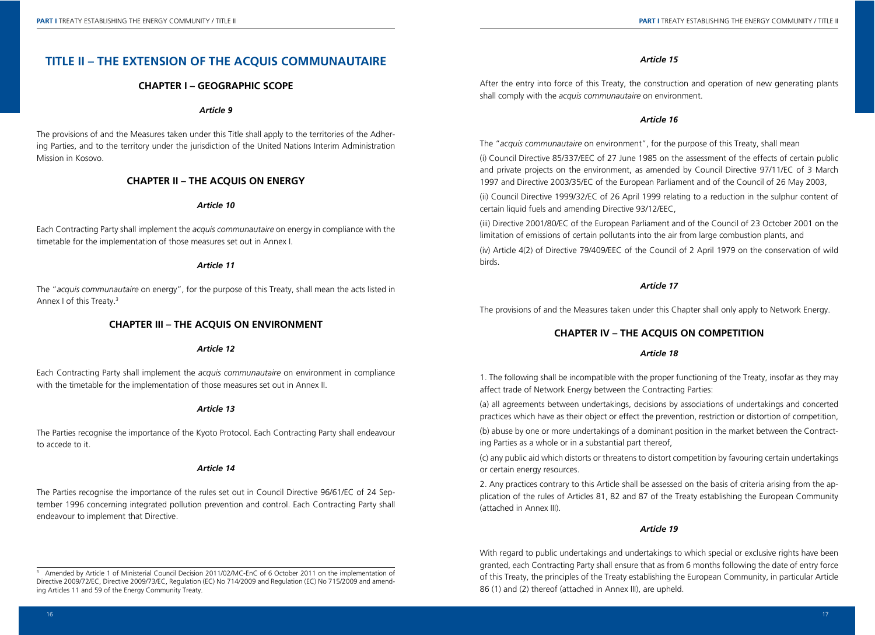# **TITLE II – THE EXTENSION OF THE ACQUIS COMMUNAUTAIRE**

# **CHAPTER I – GEOGRAPHIC SCOPE**

#### *Article 9*

The provisions of and the Measures taken under this Title shall apply to the territories of the Adhering Parties, and to the territory under the jurisdiction of the United Nations Interim Administration Mission in Kosovo.

### **CHAPTER II – THE ACQUIS ON ENERGY**

## *Article 10*

Each Contracting Party shall implement the *acquis communautaire* on energy in compliance with the timetable for the implementation of those measures set out in Annex I.

#### *Article 11*

The "*acquis communautaire* on energy", for the purpose of this Treaty, shall mean the acts listed in Annex I of this Treaty.3

# **CHAPTER III – THE ACQUIS ON ENVIRONMENT**

#### *Article 12*

Each Contracting Party shall implement the *acquis communautaire* on environment in compliance with the timetable for the implementation of those measures set out in Annex II.

#### *Article 13*

The Parties recognise the importance of the Kyoto Protocol. Each Contracting Party shall endeavour to accede to it.

## *Article 14*

The Parties recognise the importance of the rules set out in Council Directive 96/61/EC of 24 September 1996 concerning integrated pollution prevention and control. Each Contracting Party shall endeavour to implement that Directive.

After the entry into force of this Treaty, the construction and operation of new generating plants shall comply with the *acquis communautaire* on environment.

#### *Article 16*

The "*acquis communautaire* on environment", for the purpose of this Treaty, shall mean

(i) Council Directive 85/337/EEC of 27 June 1985 on the assessment of the effects of certain public and private projects on the environment, as amended by Council Directive 97/11/EC of 3 March 1997 and Directive 2003/35/EC of the European Parliament and of the Council of 26 May 2003,

(ii) Council Directive 1999/32/EC of 26 April 1999 relating to a reduction in the sulphur content of certain liquid fuels and amending Directive 93/12/EEC,

(iii) Directive 2001/80/EC of the European Parliament and of the Council of 23 October 2001 on the limitation of emissions of certain pollutants into the air from large combustion plants, and (iv) Article 4(2) of Directive 79/409/EEC of the Council of 2 April 1979 on the conservation of wild birds.

#### *Article 17*

The provisions of and the Measures taken under this Chapter shall only apply to Network Energy.

## **CHAPTER IV – THE ACQUIS ON COMPETITION**

## *Article 18*

1. The following shall be incompatible with the proper functioning of the Treaty, insofar as they may affect trade of Network Energy between the Contracting Parties:

(a) all agreements between undertakings, decisions by associations of undertakings and concerted practices which have as their object or effect the prevention, restriction or distortion of competition,

(b) abuse by one or more undertakings of a dominant position in the market between the Contracting Parties as a whole or in a substantial part thereof,

(c) any public aid which distorts or threatens to distort competition by favouring certain undertakings or certain energy resources.

2. Any practices contrary to this Article shall be assessed on the basis of criteria arising from the application of the rules of Articles 81, 82 and 87 of the Treaty establishing the European Community (attached in Annex III).

## *Article 19*

With regard to public undertakings and undertakings to which special or exclusive rights have been granted, each Contracting Party shall ensure that as from 6 months following the date of entry force of this Treaty, the principles of the Treaty establishing the European Community, in particular Article 86 (1) and (2) thereof (attached in Annex III), are upheld.

<sup>&</sup>lt;sup>3</sup> Amended by Article 1 of Ministerial Council Decision 2011/02/MC-EnC of 6 October 2011 on the implementation of Directive 2009/72/EC, Directive 2009/73/EC, Regulation (EC) No 714/2009 and Regulation (EC) No 715/2009 and amending Articles 11 and 59 of the Energy Community Treaty.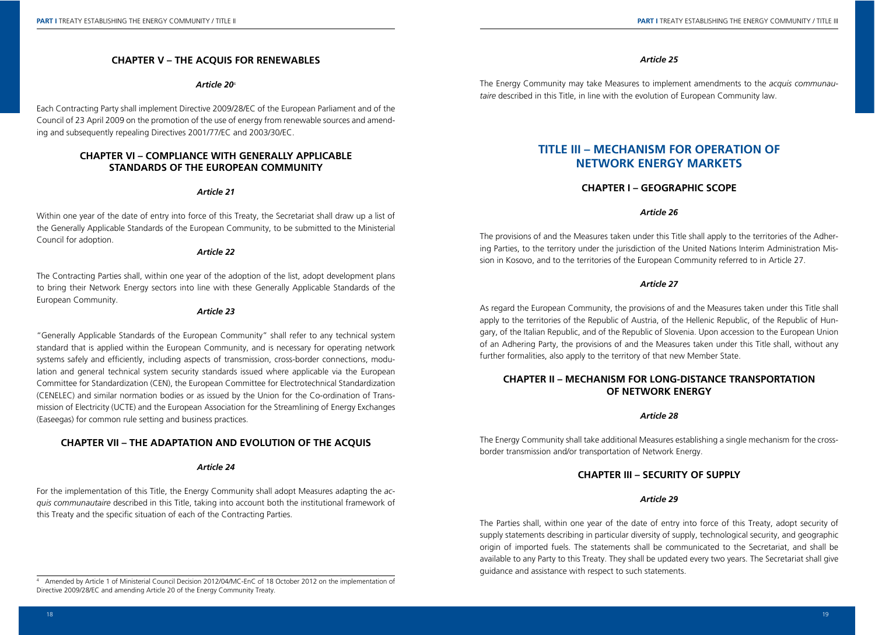# **CHAPTER V – THE ACQUIS FOR RENEWABLES**

#### *Article 20*<sup>4</sup>

Each Contracting Party shall implement Directive 2009/28/EC of the European Parliament and of the Council of 23 April 2009 on the promotion of the use of energy from renewable sources and amending and subsequently repealing Directives 2001/77/EC and 2003/30/EC.

# **CHAPTER VI – COMPLIANCE WITH GENERALLY APPLICABLE STANDARDS OF THE EUROPEAN COMMUNITY**

#### *Article 21*

Within one year of the date of entry into force of this Treaty, the Secretariat shall draw up a list of the Generally Applicable Standards of the European Community, to be submitted to the Ministerial Council for adoption.

## *Article 22*

The Contracting Parties shall, within one year of the adoption of the list, adopt development plans to bring their Network Energy sectors into line with these Generally Applicable Standards of the European Community.

## *Article 23*

"Generally Applicable Standards of the European Community" shall refer to any technical system standard that is applied within the European Community, and is necessary for operating network systems safely and efficiently, including aspects of transmission, cross-border connections, modulation and general technical system security standards issued where applicable via the European Committee for Standardization (CEN), the European Committee for Electrotechnical Standardization (CENELEC) and similar normation bodies or as issued by the Union for the Co-ordination of Transmission of Electricity (UCTE) and the European Association for the Streamlining of Energy Exchanges (Easeegas) for common rule setting and business practices.

# **CHAPTER VII – THE ADAPTATION AND EVOLUTION OF THE ACQUIS**

#### *Article 24*

For the implementation of this Title, the Energy Community shall adopt Measures adapting the *acquis communautaire* described in this Title, taking into account both the institutional framework of this Treaty and the specific situation of each of the Contracting Parties.

18 году самых на селото на селото на селото на селото на селото на селото на селото на селото на селото на 19

The Energy Community may take Measures to implement amendments to the *acquis communautaire* described in this Title, in line with the evolution of European Community law.

# **TITLE III – MECHANISM FOR OPERATION OF NETWORK ENERGY MARKETS**

# **CHAPTER I – GEOGRAPHIC SCOPE**

## *Article 26*

The provisions of and the Measures taken under this Title shall apply to the territories of the Adhering Parties, to the territory under the jurisdiction of the United Nations Interim Administration Mission in Kosovo, and to the territories of the European Community referred to in Article 27.

#### *Article 27*

As regard the European Community, the provisions of and the Measures taken under this Title shall apply to the territories of the Republic of Austria, of the Hellenic Republic, of the Republic of Hungary, of the Italian Republic, and of the Republic of Slovenia. Upon accession to the European Union of an Adhering Party, the provisions of and the Measures taken under this Title shall, without any further formalities, also apply to the territory of that new Member State.

# **CHAPTER II – MECHANISM FOR LONG-DISTANCE TRANSPORTATION OF NETWORK ENERGY**

## *Article 28*

The Energy Community shall take additional Measures establishing a single mechanism for the crossborder transmission and/or transportation of Network Energy.

# **CHAPTER III – SECURITY OF SUPPLY**

### *Article 29*

The Parties shall, within one year of the date of entry into force of this Treaty, adopt security of supply statements describing in particular diversity of supply, technological security, and geographic origin of imported fuels. The statements shall be communicated to the Secretariat, and shall be available to any Party to this Treaty. They shall be updated every two years. The Secretariat shall give guidance and assistance with respect to such statements.

#### *Article 25*

<sup>4</sup> Amended by Article 1 of Ministerial Council Decision 2012/04/MC-EnC of 18 October 2012 on the implementation of Directive 2009/28/EC and amending Article 20 of the Energy Community Treaty.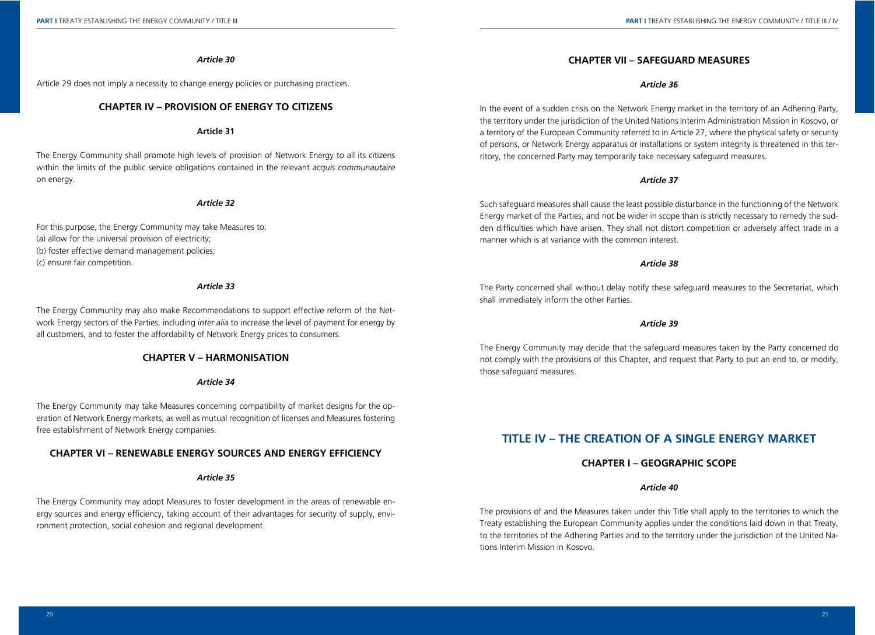Article 29 does not imply a necessity to change energy policies or purchasing practices.

# **CHAPTER IV – PROVISION OF ENERGY TO CITIZENS**

## **Article 31**

The Energy Community shall promote high levels of provision of Network Energy to all its citizens within the limits of the public service obligations contained in the relevant *acquis communautaire*  on energy.

#### *Article 32*

For this purpose, the Energy Community may take Measures to: (a) allow for the universal provision of electricity; (b) foster effective demand management policies; (c) ensure fair competition.

#### *Article 33*

The Energy Community may also make Recommendations to support effective reform of the Network Energy sectors of the Parties, including *inter alia* to increase the level of payment for energy by all customers, and to foster the affordability of Network Energy prices to consumers.

# **CHAPTER V – HARMONISATION**

#### *Article 34*

The Energy Community may take Measures concerning compatibility of market designs for the operation of Network Energy markets, as well as mutual recognition of licenses and Measures fostering free establishment of Network Energy companies.

# **CHAPTER VI – RENEWABLE ENERGY SOURCES AND ENERGY EFFICIENCY**

#### *Article 35*

The Energy Community may adopt Measures to foster development in the areas of renewable energy sources and energy efficiency, taking account of their advantages for security of supply, environment protection, social cohesion and regional development.

# **CHAPTER VII – SAFEGUARD MEASURES**

#### *Article 36*

In the event of a sudden crisis on the Network Energy market in the territory of an Adhering Party, the territory under the jurisdiction of the United Nations Interim Administration Mission in Kosovo, or a territory of the European Community referred to in Article 27, where the physical safety or security of persons, or Network Energy apparatus or installations or system integrity is threatened in this territory, the concerned Party may temporarily take necessary safeguard measures.

## *Article 37*

Such safeguard measures shall cause the least possible disturbance in the functioning of the Network Energy market of the Parties, and not be wider in scope than is strictly necessary to remedy the sudden difficulties which have arisen. They shall not distort competition or adversely affect trade in a manner which is at variance with the common interest.

## *Article 38*

The Party concerned shall without delay notify these safeguard measures to the Secretariat, which shall immediately inform the other Parties.

#### *Article 39*

The Energy Community may decide that the safeguard measures taken by the Party concerned do not comply with the provisions of this Chapter, and request that Party to put an end to, or modify, those safeguard measures.

# **TITLE IV – THE CREATION OF A SINGLE ENERGY MARKET**

## **CHAPTER I – GEOGRAPHIC SCOPE**

#### *Article 40*

The provisions of and the Measures taken under this Title shall apply to the territories to which the Treaty establishing the European Community applies under the conditions laid down in that Treaty, to the territories of the Adhering Parties and to the territory under the jurisdiction of the United Nations Interim Mission in Kosovo.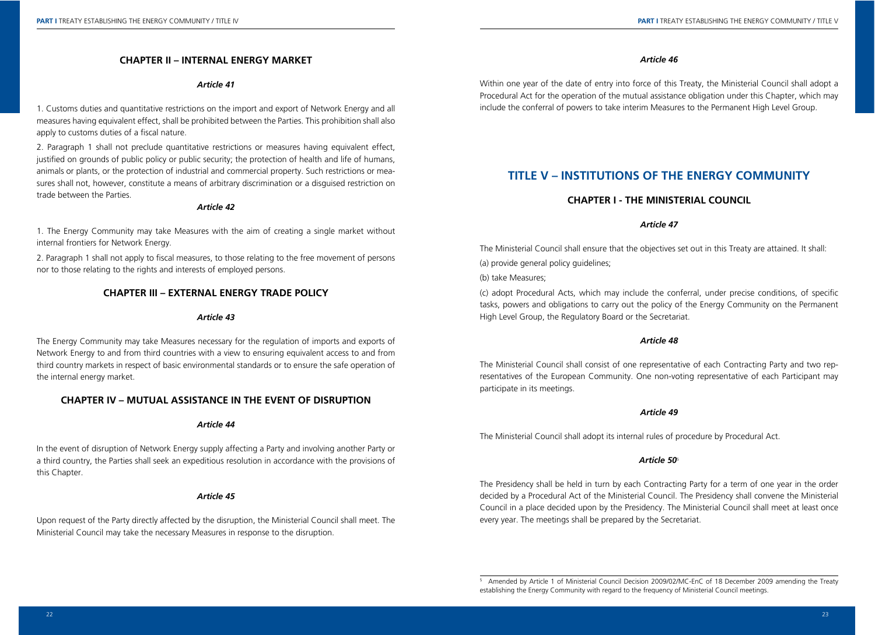# **CHAPTER II – INTERNAL ENERGY MARKET**

#### *Article 41*

1. Customs duties and quantitative restrictions on the import and export of Network Energy and all measures having equivalent effect, shall be prohibited between the Parties. This prohibition shall also apply to customs duties of a fiscal nature.

2. Paragraph 1 shall not preclude quantitative restrictions or measures having equivalent effect, justified on grounds of public policy or public security; the protection of health and life of humans, animals or plants, or the protection of industrial and commercial property. Such restrictions or measures shall not, however, constitute a means of arbitrary discrimination or a disguised restriction on trade between the Parties.

### *Article 42*

1. The Energy Community may take Measures with the aim of creating a single market without internal frontiers for Network Energy.

2. Paragraph 1 shall not apply to fiscal measures, to those relating to the free movement of persons nor to those relating to the rights and interests of employed persons.

## **CHAPTER III – EXTERNAL ENERGY TRADE POLICY**

## *Article 43*

The Energy Community may take Measures necessary for the regulation of imports and exports of Network Energy to and from third countries with a view to ensuring equivalent access to and from third country markets in respect of basic environmental standards or to ensure the safe operation of the internal energy market.

# **CHAPTER IV – MUTUAL ASSISTANCE IN THE EVENT OF DISRUPTION**

#### *Article 44*

In the event of disruption of Network Energy supply affecting a Party and involving another Party or a third country, the Parties shall seek an expeditious resolution in accordance with the provisions of this Chapter.

## *Article 45*

Upon request of the Party directly affected by the disruption, the Ministerial Council shall meet. The Ministerial Council may take the necessary Measures in response to the disruption.

Within one year of the date of entry into force of this Treaty, the Ministerial Council shall adopt a Procedural Act for the operation of the mutual assistance obligation under this Chapter, which may include the conferral of powers to take interim Measures to the Permanent High Level Group.

# **TITLE V – INSTITUTIONS OF THE ENERGY COMMUNITY**

## **CHAPTER I - THE MINISTERIAL COUNCIL**

#### *Article 47*

The Ministerial Council shall ensure that the objectives set out in this Treaty are attained. It shall: (a) provide general policy quidelines;

(b) take Measures;

(c) adopt Procedural Acts, which may include the conferral, under precise conditions, of specific tasks, powers and obligations to carry out the policy of the Energy Community on the Permanent High Level Group, the Regulatory Board or the Secretariat.

#### *Article 48*

The Ministerial Council shall consist of one representative of each Contracting Party and two representatives of the European Community. One non-voting representative of each Participant may participate in its meetings.

#### *Article 49*

The Ministerial Council shall adopt its internal rules of procedure by Procedural Act.

#### *Article 50*<sup>5</sup>

The Presidency shall be held in turn by each Contracting Party for a term of one year in the order decided by a Procedural Act of the Ministerial Council. The Presidency shall convene the Ministerial Council in a place decided upon by the Presidency. The Ministerial Council shall meet at least once every year. The meetings shall be prepared by the Secretariat.

<sup>5</sup> Amended by Article 1 of Ministerial Council Decision 2009/02/MC-EnC of 18 December 2009 amending the Treaty establishing the Energy Community with regard to the frequency of Ministerial Council meetings.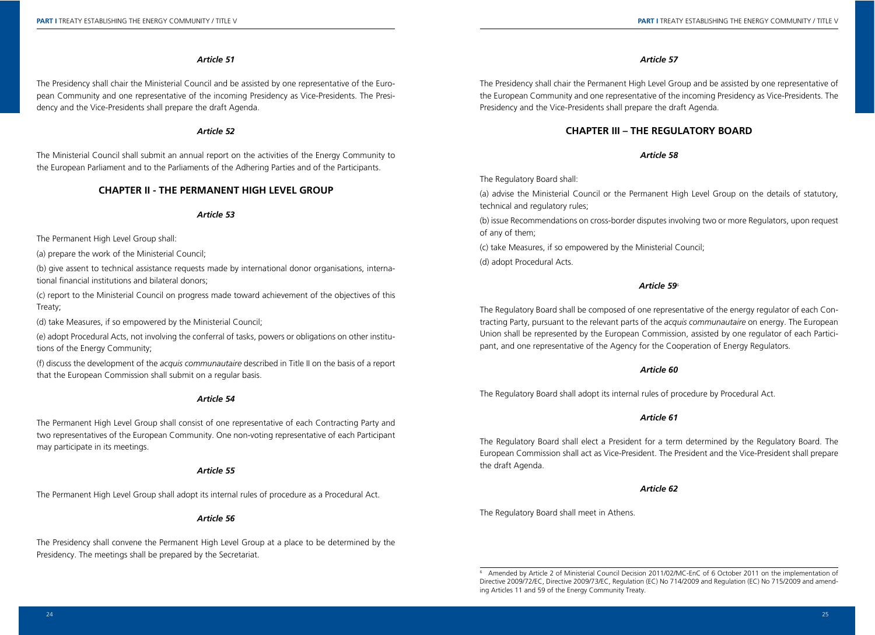The Presidency shall chair the Ministerial Council and be assisted by one representative of the European Community and one representative of the incoming Presidency as Vice-Presidents. The Presidency and the Vice-Presidents shall prepare the draft Agenda.

# *Article 52*

The Ministerial Council shall submit an annual report on the activities of the Energy Community to the European Parliament and to the Parliaments of the Adhering Parties and of the Participants.

# **CHAPTER II - THE PERMANENT HIGH LEVEL GROUP**

## *Article 53*

The Permanent High Level Group shall:

(a) prepare the work of the Ministerial Council;

(b) give assent to technical assistance requests made by international donor organisations, international financial institutions and bilateral donors;

(c) report to the Ministerial Council on progress made toward achievement of the objectives of this Treaty;

(d) take Measures, if so empowered by the Ministerial Council;

(e) adopt Procedural Acts, not involving the conferral of tasks, powers or obligations on other institutions of the Energy Community;

(f) discuss the development of the *acquis communautaire* described in Title II on the basis of a report that the European Commission shall submit on a regular basis.

## *Article 54*

The Permanent High Level Group shall consist of one representative of each Contracting Party and two representatives of the European Community. One non-voting representative of each Participant may participate in its meetings.

#### *Article 55*

The Permanent High Level Group shall adopt its internal rules of procedure as a Procedural Act.

#### *Article 56*

The Presidency shall convene the Permanent High Level Group at a place to be determined by the Presidency. The meetings shall be prepared by the Secretariat.

#### *Article 57*

The Presidency shall chair the Permanent High Level Group and be assisted by one representative of the European Community and one representative of the incoming Presidency as Vice-Presidents. The Presidency and the Vice-Presidents shall prepare the draft Agenda.

# **CHAPTER III – THE REGULATORY BOARD**

#### *Article 58*

The Regulatory Board shall:

(a) advise the Ministerial Council or the Permanent High Level Group on the details of statutory, technical and regulatory rules;

(b) issue Recommendations on cross-border disputes involving two or more Regulators, upon request of any of them;

(c) take Measures, if so empowered by the Ministerial Council;

(d) adopt Procedural Acts.

#### *Article 59*<sup>6</sup>

The Regulatory Board shall be composed of one representative of the energy regulator of each Contracting Party, pursuant to the relevant parts of the *acquis communautaire* on energy. The European Union shall be represented by the European Commission, assisted by one regulator of each Participant, and one representative of the Agency for the Cooperation of Energy Regulators.

## *Article 60*

The Regulatory Board shall adopt its internal rules of procedure by Procedural Act.

#### *Article 61*

The Regulatory Board shall elect a President for a term determined by the Regulatory Board. The European Commission shall act as Vice-President. The President and the Vice-President shall prepare the draft Agenda.

#### *Article 62*

The Regulatory Board shall meet in Athens.

<sup>6</sup> Amended by Article 2 of Ministerial Council Decision 2011/02/MC-EnC of 6 October 2011 on the implementation of Directive 2009/72/EC, Directive 2009/73/EC, Regulation (EC) No 714/2009 and Regulation (EC) No 715/2009 and amending Articles 11 and 59 of the Energy Community Treaty.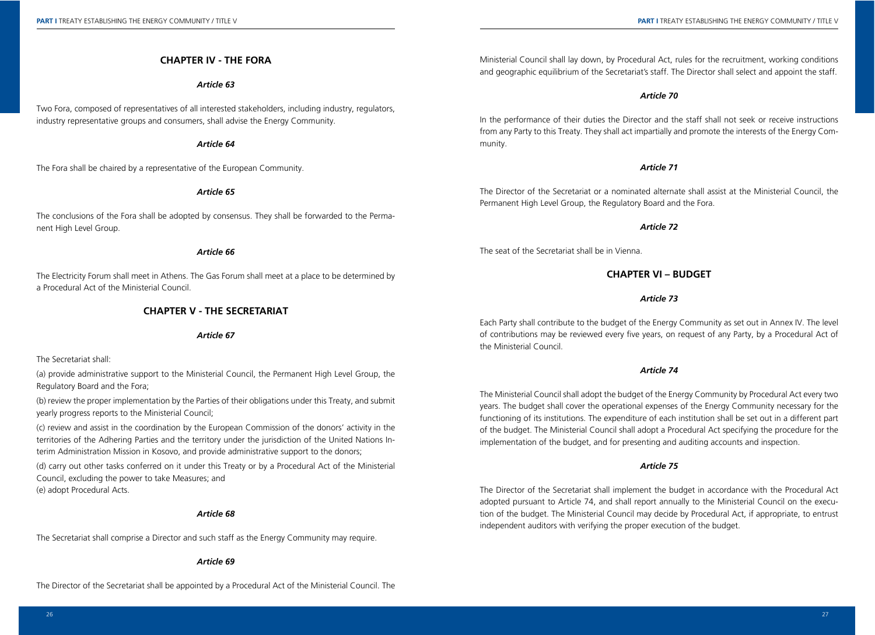# **CHAPTER IV - THE FORA**

#### *Article 63*

Two Fora, composed of representatives of all interested stakeholders, including industry, regulators, industry representative groups and consumers, shall advise the Energy Community.

# *Article 64*

The Fora shall be chaired by a representative of the European Community.

#### *Article 65*

The conclusions of the Fora shall be adopted by consensus. They shall be forwarded to the Permanent High Level Group.

## *Article 66*

The Electricity Forum shall meet in Athens. The Gas Forum shall meet at a place to be determined by a Procedural Act of the Ministerial Council.

# **CHAPTER V - THE SECRETARIAT**

*Article 67*

The Secretariat shall:

(a) provide administrative support to the Ministerial Council, the Permanent High Level Group, the Regulatory Board and the Fora;

(b) review the proper implementation by the Parties of their obligations under this Treaty, and submit yearly progress reports to the Ministerial Council;

(c) review and assist in the coordination by the European Commission of the donors' activity in the territories of the Adhering Parties and the territory under the jurisdiction of the United Nations Interim Administration Mission in Kosovo, and provide administrative support to the donors;

(d) carry out other tasks conferred on it under this Treaty or by a Procedural Act of the Ministerial Council, excluding the power to take Measures; and (e) adopt Procedural Acts.

## *Article 68*

The Secretariat shall comprise a Director and such staff as the Energy Community may require.

## *Article 69*

The Director of the Secretariat shall be appointed by a Procedural Act of the Ministerial Council. The

Ministerial Council shall lay down, by Procedural Act, rules for the recruitment, working conditions and geographic equilibrium of the Secretariat's staff. The Director shall select and appoint the staff.

#### *Article 70*

In the performance of their duties the Director and the staff shall not seek or receive instructions from any Party to this Treaty. They shall act impartially and promote the interests of the Energy Community.

## *Article 71*

The Director of the Secretariat or a nominated alternate shall assist at the Ministerial Council, the Permanent High Level Group, the Regulatory Board and the Fora.

#### *Article 72*

The seat of the Secretariat shall be in Vienna.

# **CHAPTER VI – BUDGET**

#### *Article 73*

Each Party shall contribute to the budget of the Energy Community as set out in Annex IV. The level of contributions may be reviewed every five years, on request of any Party, by a Procedural Act of the Ministerial Council.

## *Article 74*

The Ministerial Council shall adopt the budget of the Energy Community by Procedural Act every two years. The budget shall cover the operational expenses of the Energy Community necessary for the functioning of its institutions. The expenditure of each institution shall be set out in a different part of the budget. The Ministerial Council shall adopt a Procedural Act specifying the procedure for the implementation of the budget, and for presenting and auditing accounts and inspection.

## *Article 75*

The Director of the Secretariat shall implement the budget in accordance with the Procedural Act adopted pursuant to Article 74, and shall report annually to the Ministerial Council on the execution of the budget. The Ministerial Council may decide by Procedural Act, if appropriate, to entrust independent auditors with verifying the proper execution of the budget.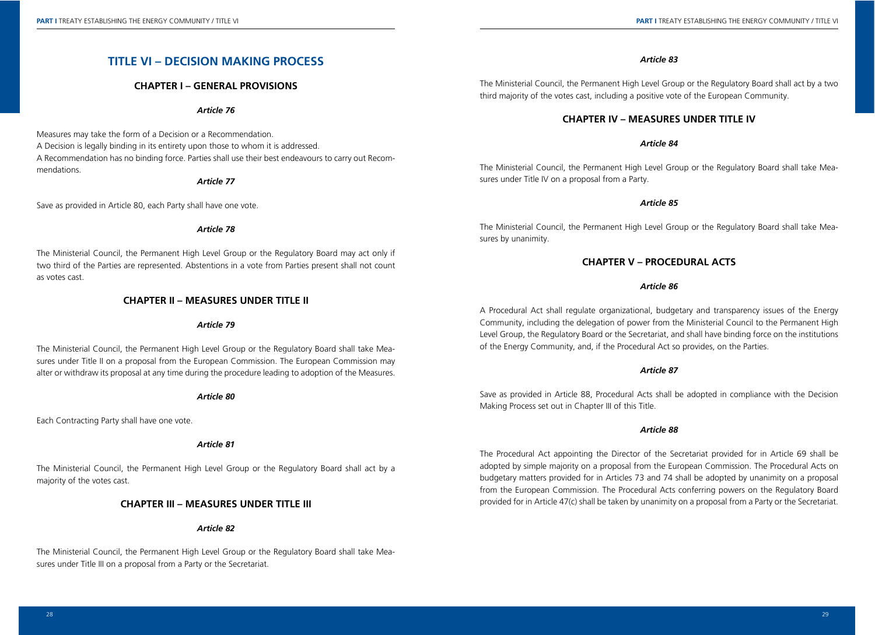# **TITLE VI – DECISION MAKING PROCESS**

# **CHAPTER I – GENERAL PROVISIONS**

*Article 76*

Measures may take the form of a Decision or a Recommendation.

A Decision is legally binding in its entirety upon those to whom it is addressed. A Recommendation has no binding force. Parties shall use their best endeavours to carry out Recommendations.

#### *Article 77*

Save as provided in Article 80, each Party shall have one vote.

*Article 78*

The Ministerial Council, the Permanent High Level Group or the Regulatory Board may act only if two third of the Parties are represented. Abstentions in a vote from Parties present shall not count as votes cast.

# **CHAPTER II – MEASURES UNDER TITLE II**

#### *Article 79*

The Ministerial Council, the Permanent High Level Group or the Regulatory Board shall take Measures under Title II on a proposal from the European Commission. The European Commission may alter or withdraw its proposal at any time during the procedure leading to adoption of the Measures.

## *Article 80*

Each Contracting Party shall have one vote.

## *Article 81*

The Ministerial Council, the Permanent High Level Group or the Regulatory Board shall act by a majority of the votes cast.

# **CHAPTER III – MEASURES UNDER TITLE III**

## *Article 82*

The Ministerial Council, the Permanent High Level Group or the Regulatory Board shall take Measures under Title III on a proposal from a Party or the Secretariat.

#### *Article 83*

The Ministerial Council, the Permanent High Level Group or the Regulatory Board shall act by a two third majority of the votes cast, including a positive vote of the European Community.

# **CHAPTER IV – MEASURES UNDER TITLE IV**

### *Article 84*

The Ministerial Council, the Permanent High Level Group or the Regulatory Board shall take Measures under Title IV on a proposal from a Party.

#### *Article 85*

The Ministerial Council, the Permanent High Level Group or the Regulatory Board shall take Measures by unanimity.

# **CHAPTER V – PROCEDURAL ACTS**

## *Article 86*

A Procedural Act shall regulate organizational, budgetary and transparency issues of the Energy Community, including the delegation of power from the Ministerial Council to the Permanent High Level Group, the Regulatory Board or the Secretariat, and shall have binding force on the institutions of the Energy Community, and, if the Procedural Act so provides, on the Parties.

## *Article 87*

Save as provided in Article 88, Procedural Acts shall be adopted in compliance with the Decision Making Process set out in Chapter III of this Title.

#### *Article 88*

The Procedural Act appointing the Director of the Secretariat provided for in Article 69 shall be adopted by simple majority on a proposal from the European Commission. The Procedural Acts on budgetary matters provided for in Articles 73 and 74 shall be adopted by unanimity on a proposal from the European Commission. The Procedural Acts conferring powers on the Regulatory Board provided for in Article 47(c) shall be taken by unanimity on a proposal from a Party or the Secretariat.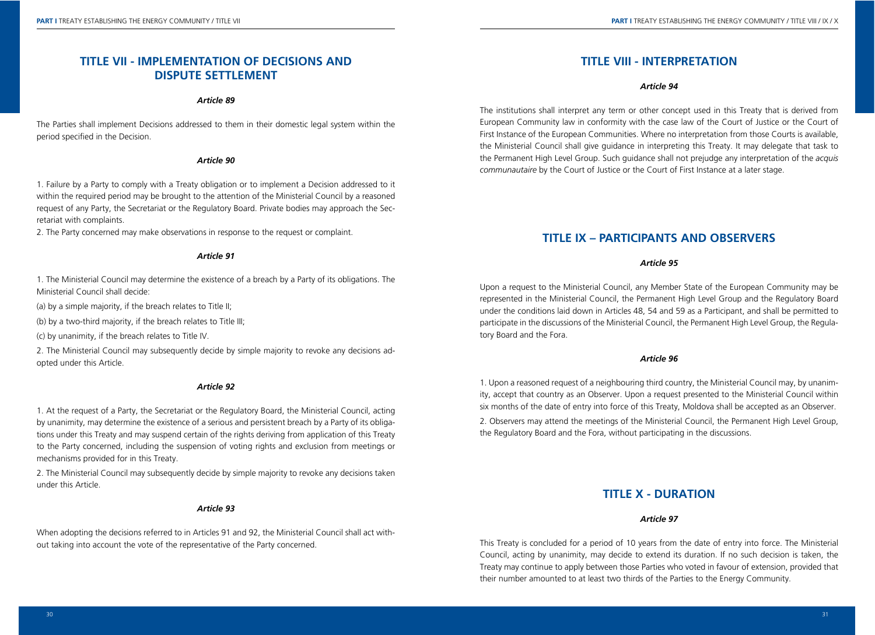# **TITLE VII - IMPLEMENTATION OF DECISIONS AND DISPUTE SETTLEMENT**

## *Article 89*

The Parties shall implement Decisions addressed to them in their domestic legal system within the period specified in the Decision.

## *Article 90*

1. Failure by a Party to comply with a Treaty obligation or to implement a Decision addressed to it within the required period may be brought to the attention of the Ministerial Council by a reasoned request of any Party, the Secretariat or the Regulatory Board. Private bodies may approach the Secretariat with complaints.

2. The Party concerned may make observations in response to the request or complaint.

#### *Article 91*

1. The Ministerial Council may determine the existence of a breach by a Party of its obligations. The Ministerial Council shall decide:

(a) by a simple majority, if the breach relates to Title II;

(b) by a two-third majority, if the breach relates to Title III;

(c) by unanimity, if the breach relates to Title IV.

2. The Ministerial Council may subsequently decide by simple majority to revoke any decisions adopted under this Article.

### *Article 92*

1. At the request of a Party, the Secretariat or the Regulatory Board, the Ministerial Council, acting by unanimity, may determine the existence of a serious and persistent breach by a Party of its obligations under this Treaty and may suspend certain of the rights deriving from application of this Treaty to the Party concerned, including the suspension of voting rights and exclusion from meetings or mechanisms provided for in this Treaty.

2. The Ministerial Council may subsequently decide by simple majority to revoke any decisions taken under this Article.

#### *Article 93*

When adopting the decisions referred to in Articles 91 and 92, the Ministerial Council shall act without taking into account the vote of the representative of the Party concerned.

# **TITLE VIII - INTERPRETATION**

#### *Article 94*

The institutions shall interpret any term or other concept used in this Treaty that is derived from European Community law in conformity with the case law of the Court of Justice or the Court of First Instance of the European Communities. Where no interpretation from those Courts is available, the Ministerial Council shall give guidance in interpreting this Treaty. It may delegate that task to the Permanent High Level Group. Such guidance shall not prejudge any interpretation of the *acquis communautaire* by the Court of Justice or the Court of First Instance at a later stage.

# **TITLE IX – PARTICIPANTS AND OBSERVERS**

#### *Article 95*

Upon a request to the Ministerial Council, any Member State of the European Community may be represented in the Ministerial Council, the Permanent High Level Group and the Regulatory Board under the conditions laid down in Articles 48, 54 and 59 as a Participant, and shall be permitted to participate in the discussions of the Ministerial Council, the Permanent High Level Group, the Regulatory Board and the Fora.

## *Article 96*

1. Upon a reasoned request of a neighbouring third country, the Ministerial Council may, by unanimity, accept that country as an Observer. Upon a request presented to the Ministerial Council within six months of the date of entry into force of this Treaty, Moldova shall be accepted as an Observer.

2. Observers may attend the meetings of the Ministerial Council, the Permanent High Level Group, the Regulatory Board and the Fora, without participating in the discussions.

# **TITLE X - DURATION**

#### *Article 97*

This Treaty is concluded for a period of 10 years from the date of entry into force. The Ministerial Council, acting by unanimity, may decide to extend its duration. If no such decision is taken, the Treaty may continue to apply between those Parties who voted in favour of extension, provided that their number amounted to at least two thirds of the Parties to the Energy Community.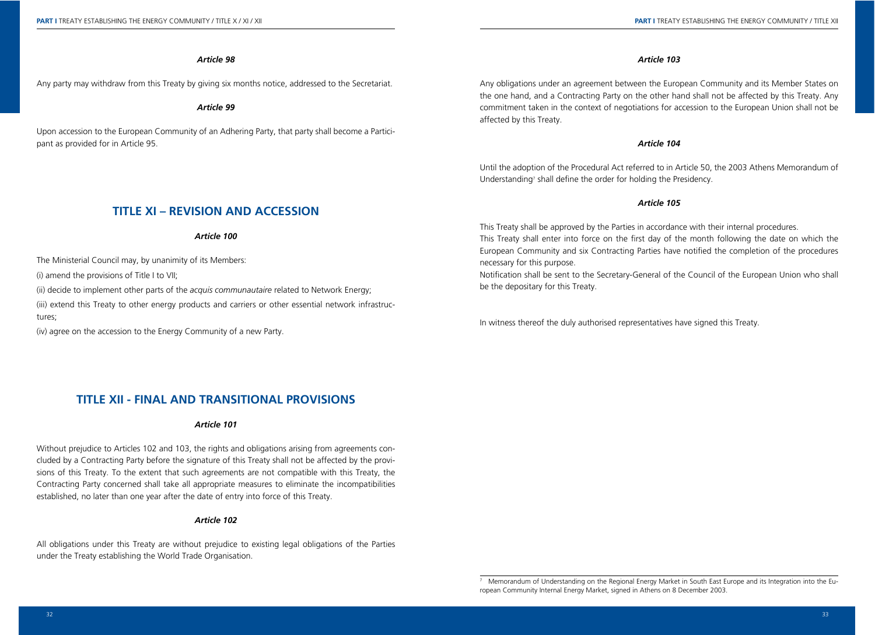# Any party may withdraw from this Treaty by giving six months notice, addressed to the Secretariat.

## *Article 99*

*Article 98*

Upon accession to the European Community of an Adhering Party, that party shall become a Participant as provided for in Article 95.

Any obligations under an agreement between the European Community and its Member States on the one hand, and a Contracting Party on the other hand shall not be affected by this Treaty. Any commitment taken in the context of negotiations for accession to the European Union shall not be affected by this Treaty.

#### *Article 104*

Until the adoption of the Procedural Act referred to in Article 50, the 2003 Athens Memorandum of Understanding<sup>,</sup> shall define the order for holding the Presidency.

#### *Article 105*

This Treaty shall be approved by the Parties in accordance with their internal procedures. This Treaty shall enter into force on the first day of the month following the date on which the European Community and six Contracting Parties have notified the completion of the procedures necessary for this purpose.

-Notification shall be sent to the Secretary-General of the Council of the European Union who shall be the depositary for this Treaty.

In witness thereof the duly authorised representatives have signed this Treaty.

# **TITLE XI – REVISION AND ACCESSION**

#### *Article 100*

The Ministerial Council may, by unanimity of its Members:

(i) amend the provisions of Title I to VII;

(ii) decide to implement other parts of the *acquis communautaire* related to Network Energy;

(iii) extend this Treaty to other energy products and carriers or other essential network infrastructures:

(iv) agree on the accession to the Energy Community of a new Party.

# **TITLE XII - FINAL AND TRANSITIONAL PROVISIONS**

### *Article 101*

Without prejudice to Articles 102 and 103, the rights and obligations arising from agreements concluded by a Contracting Party before the signature of this Treaty shall not be affected by the provisions of this Treaty. To the extent that such agreements are not compatible with this Treaty, the Contracting Party concerned shall take all appropriate measures to eliminate the incompatibilities established, no later than one year after the date of entry into force of this Treaty.

### *Article 102*

All obligations under this Treaty are without prejudice to existing legal obligations of the Parties under the Treaty establishing the World Trade Organisation.

<sup>7</sup> Memorandum of Understanding on the Regional Energy Market in South East Europe and its Integration into the European Community Internal Energy Market, signed in Athens on 8 December 2003.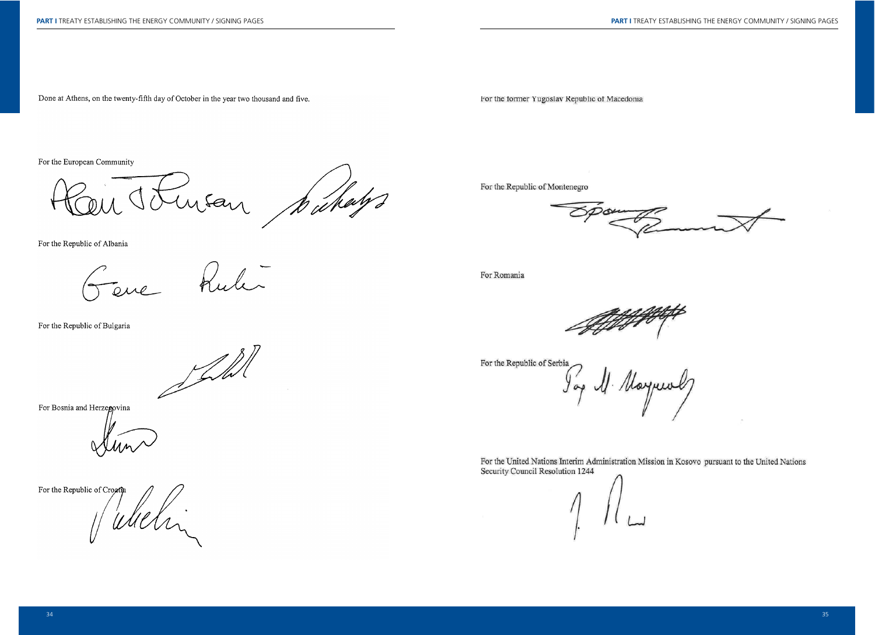Done at Athens, on the twenty-fifth day of October in the year two thousand and five.

For the former Yugoslav Republic of Macedonia

For the European Community

to what 1 fan

For the Republic of Albania

Fere Rule

For the Republic of Bulgaria

Illi

For Bosnia and Herzegovina

For the Republic of Croatle

Melin

For the Republic of Montenegro

For Romania

For the Republic of Serbia

Yog M. Mayreal

For the United Nations Interim Administration Mission in Kosovo pursuant to the United Nations Security Council Resolution 1244

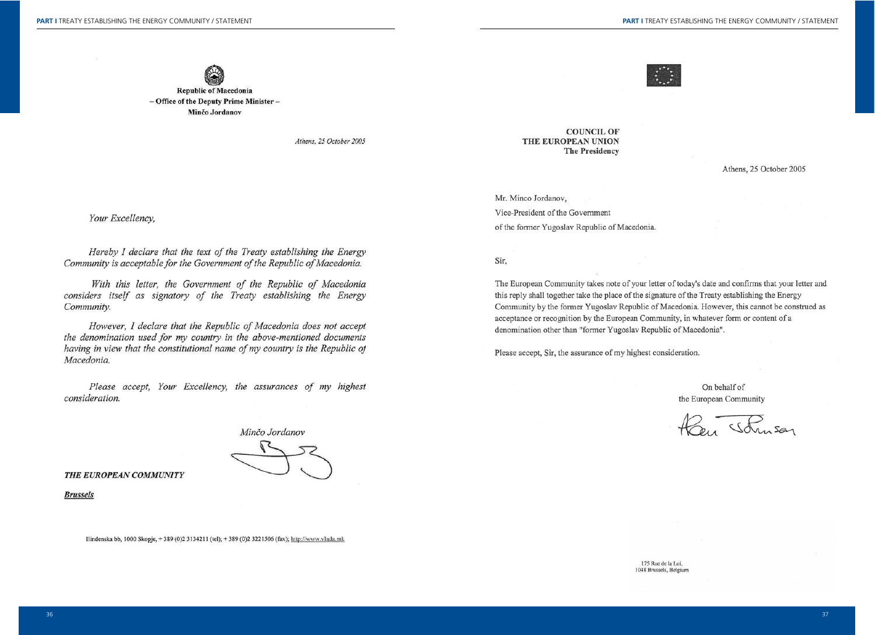**Republic of Macedonia** - Office of the Deputy Prime Minister-Minčo Jordanov

Athens. 25 October 2005



**COUNCIL OF** THE EUROPEAN UNION **The Presidency** 

Athens, 25 October 2005

Mr. Minco Jordanov,

Vice-President of the Government of the former Yugoslav Republic of Macedonia.

Sir,

The European Community takes note of your letter of today's date and confirms that your letter and this reply shall together take the place of the signature of the Treaty establishing the Energy Community by the former Yugoslav Republic of Macedonia. However, this cannot be construed as acceptance or recognition by the European Community, in whatever form or content of a denomination other than "former Yugoslav Republic of Macedonia".

Please accept, Sir, the assurance of my highest consideration.

On behalf of the European Community

Rey Solusar

Your Excellency,

Hereby I declare that the text of the Treaty establishing the Energy Community is acceptable for the Government of the Republic of Macedonia.

With this letter, the Government of the Republic of Macedonia considers itself as signatory of the Treaty establishing the Energy Community.

However, I declare that the Republic of Macedonia does not accept the denomination used for my country in the above-mentioned documents having in view that the constitutional name of my country is the Republic of Macedonia.

Please accept, Your Excellency, the assurances of my highest consideration.

Minčo Jordanov

THE EUROPEAN COMMUNITY

**Brussels** 

Ilindenska bb, 1000 Skopje, +389 (0)2 3134211 (tel); +389 (0)2 3221506 (fax); http://www.vlada.mk

175 Rue de la Loi. 1048 Brussels, Belgium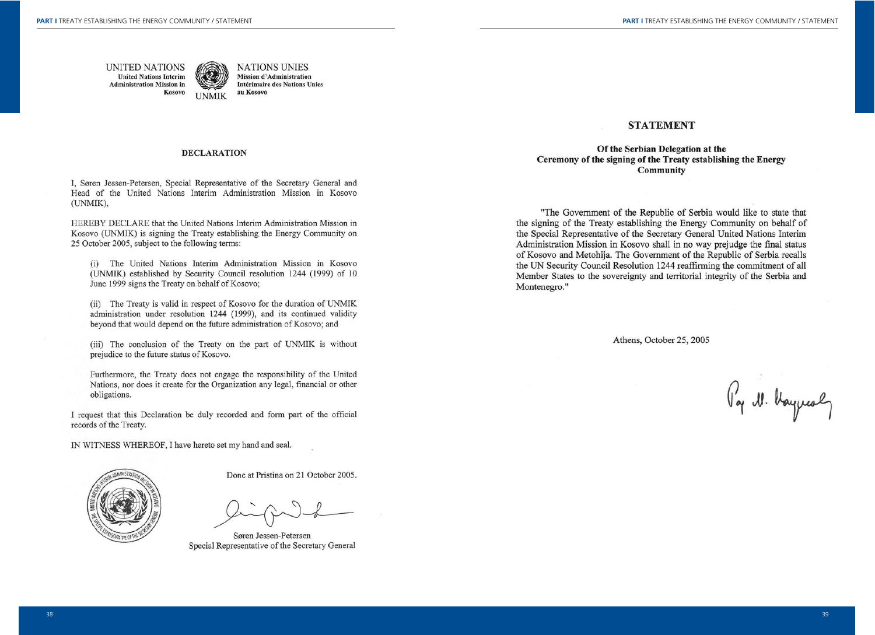

**NATIONS UNIES Mission d'Administration Intérimaire des Nations Unies** au Kosovo

#### **DECLARATION**

I, Søren Jessen-Petersen, Special Representative of the Secretary General and Head of the United Nations Interim Administration Mission in Kosovo (UNMIK),

HEREBY DECLARE that the United Nations Interim Administration Mission in Kosovo (UNMIK) is signing the Treaty establishing the Energy Community on 25 October 2005, subject to the following terms:

(i) The United Nations Interim Administration Mission in Kosovo (UNMIK) established by Security Council resolution 1244 (1999) of 10 June 1999 signs the Treaty on behalf of Kosovo;

(ii) The Treaty is valid in respect of Kosovo for the duration of UNMIK administration under resolution 1244 (1999), and its continued validity beyond that would depend on the future administration of Kosovo; and

(iii) The conclusion of the Treaty on the part of UNMIK is without prejudice to the future status of Kosovo.

Furthermore, the Treaty does not engage the responsibility of the United Nations, nor does it create for the Organization any legal, financial or other obligations.

I request that this Declaration be duly recorded and form part of the official records of the Treaty.

IN WITNESS WHEREOF, I have hereto set my hand and seal.



Done at Pristina on 21 October 2005.

Søren Jessen-Petersen Special Representative of the Secretary General

### **STATEMENT**

#### Of the Serbian Delegation at the Ceremony of the signing of the Treaty establishing the Energy **Community**

"The Government of the Republic of Serbia would like to state that the signing of the Treaty establishing the Energy Community on behalf of the Special Representative of the Secretary General United Nations Interim Administration Mission in Kosovo shall in no way prejudge the final status of Kosovo and Metohija. The Government of the Republic of Serbia recalls the UN Security Council Resolution 1244 reaffirming the commitment of all Member States to the sovereignty and territorial integrity of the Serbia and Montenegro."

Athens, October 25, 2005

Pop 11. Vaynoly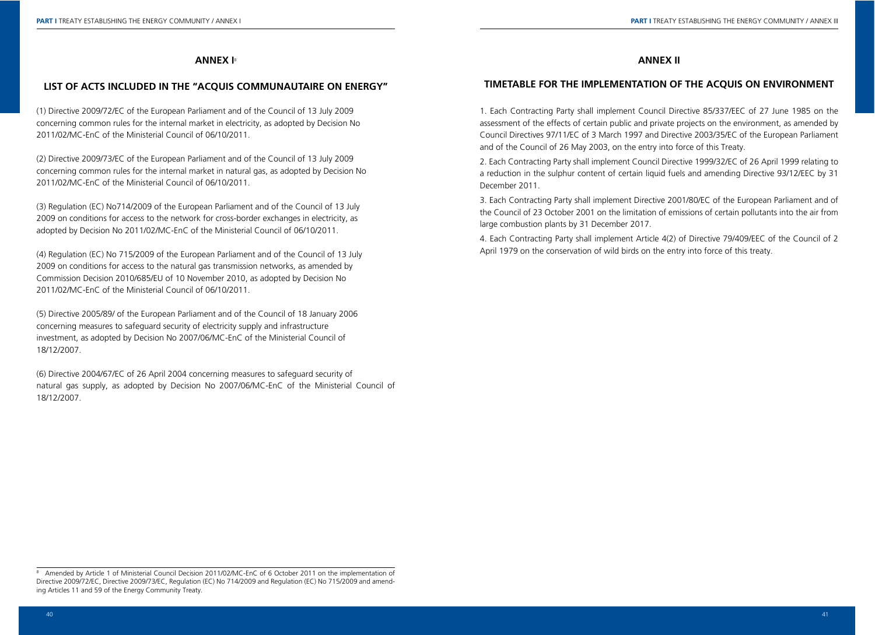### **ANNEX I**<sup>8</sup>

## **LIST OF ACTS INCLUDED IN THE "ACQUIS COMMUNAUTAIRE ON ENERGY"**

(1) Directive 2009/72/EC of the European Parliament and of the Council of 13 July 2009 concerning common rules for the internal market in electricity, as adopted by Decision No 2011/02/MC-EnC of the Ministerial Council of 06/10/2011.

(2) Directive 2009/73/EC of the European Parliament and of the Council of 13 July 2009 concerning common rules for the internal market in natural gas, as adopted by Decision No 2011/02/MC-EnC of the Ministerial Council of 06/10/2011.

(3) Regulation (EC) No714/2009 of the European Parliament and of the Council of 13 July 2009 on conditions for access to the network for cross-border exchanges in electricity, as adopted by Decision No 2011/02/MC-EnC of the Ministerial Council of 06/10/2011.

(4) Regulation (EC) No 715/2009 of the European Parliament and of the Council of 13 July 2009 on conditions for access to the natural gas transmission networks, as amended by Commission Decision 2010/685/EU of 10 November 2010, as adopted by Decision No 2011/02/MC-EnC of the Ministerial Council of 06/10/2011.

(5) Directive 2005/89/ of the European Parliament and of the Council of 18 January 2006 concerning measures to safeguard security of electricity supply and infrastructure investment, as adopted by Decision No 2007/06/MC-EnC of the Ministerial Council of 18/12/2007.

(6) Directive 2004/67/EC of 26 April 2004 concerning measures to safeguard security of natural gas supply, as adopted by Decision No 2007/06/MC-EnC of the Ministerial Council of 18/12/2007.

# **ANNEX II**

# **TIMETABLE FOR THE IMPLEMENTATION OF THE ACQUIS ON ENVIRONMENT**

1. Each Contracting Party shall implement Council Directive 85/337/EEC of 27 June 1985 on the assessment of the effects of certain public and private projects on the environment, as amended by Council Directives 97/11/EC of 3 March 1997 and Directive 2003/35/EC of the European Parliament and of the Council of 26 May 2003, on the entry into force of this Treaty.

2. Each Contracting Party shall implement Council Directive 1999/32/EC of 26 April 1999 relating to a reduction in the sulphur content of certain liquid fuels and amending Directive 93/12/EEC by 31 December 2011.

3. Each Contracting Party shall implement Directive 2001/80/EC of the European Parliament and of the Council of 23 October 2001 on the limitation of emissions of certain pollutants into the air from large combustion plants by 31 December 2017.

4. Each Contracting Party shall implement Article 4(2) of Directive 79/409/EEC of the Council of 2 April 1979 on the conservation of wild birds on the entry into force of this treaty.

<sup>8</sup> Amended by Article 1 of Ministerial Council Decision 2011/02/MC-EnC of 6 October 2011 on the implementation of Directive 2009/72/EC, Directive 2009/73/EC, Regulation (EC) No 714/2009 and Regulation (EC) No 715/2009 and amending Articles 11 and 59 of the Energy Community Treaty.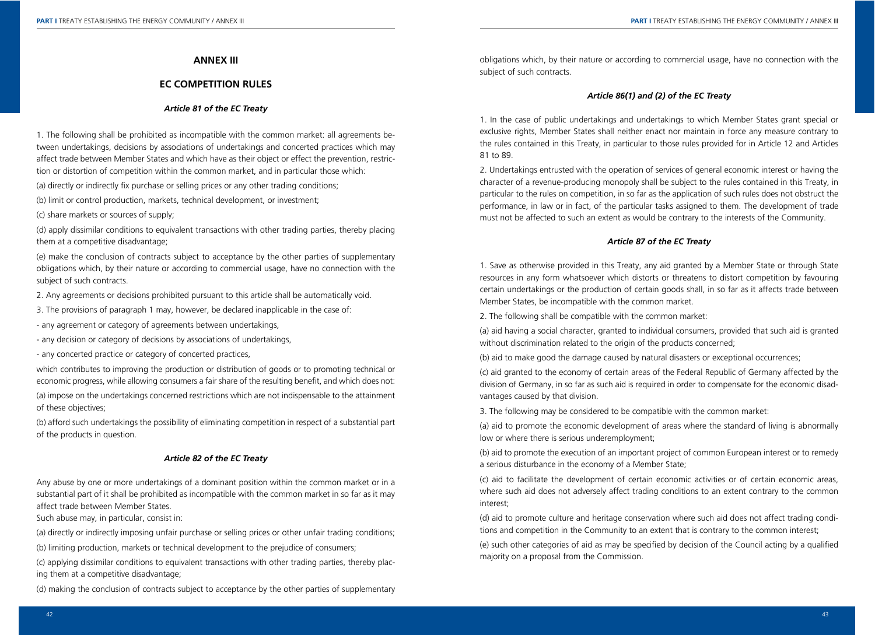# **ANNEX III**

# **EC COMPETITION RULES**

### *Article 81 of the EC Treaty*

1. The following shall be prohibited as incompatible with the common market: all agreements between undertakings, decisions by associations of undertakings and concerted practices which may affect trade between Member States and which have as their object or effect the prevention, restriction or distortion of competition within the common market, and in particular those which:

(a) directly or indirectly fix purchase or selling prices or any other trading conditions;

(b) limit or control production, markets, technical development, or investment;

(c) share markets or sources of supply;

(d) apply dissimilar conditions to equivalent transactions with other trading parties, thereby placing them at a competitive disadvantage;

(e) make the conclusion of contracts subject to acceptance by the other parties of supplementary obligations which, by their nature or according to commercial usage, have no connection with the subject of such contracts.

2. Any agreements or decisions prohibited pursuant to this article shall be automatically void.

3. The provisions of paragraph 1 may, however, be declared inapplicable in the case of:

- any agreement or category of agreements between undertakings,

- any decision or category of decisions by associations of undertakings,

- any concerted practice or category of concerted practices,

which contributes to improving the production or distribution of goods or to promoting technical or economic progress, while allowing consumers a fair share of the resulting benefit, and which does not:

(a) impose on the undertakings concerned restrictions which are not indispensable to the attainment of these objectives;

(b) afford such undertakings the possibility of eliminating competition in respect of a substantial part of the products in question.

## *Article 82 of the EC Treaty*

Any abuse by one or more undertakings of a dominant position within the common market or in a substantial part of it shall be prohibited as incompatible with the common market in so far as it may affect trade between Member States.

Such abuse may, in particular, consist in:

(a) directly or indirectly imposing unfair purchase or selling prices or other unfair trading conditions;

(b) limiting production, markets or technical development to the prejudice of consumers;

(c) applying dissimilar conditions to equivalent transactions with other trading parties, thereby placing them at a competitive disadvantage;

(d) making the conclusion of contracts subject to acceptance by the other parties of supplementary

obligations which, by their nature or according to commercial usage, have no connection with the subject of such contracts.

#### *Article 86(1) and (2) of the EC Treaty*

1. In the case of public undertakings and undertakings to which Member States grant special or exclusive rights, Member States shall neither enact nor maintain in force any measure contrary to the rules contained in this Treaty, in particular to those rules provided for in Article 12 and Articles 81 to 89.

2. Undertakings entrusted with the operation of services of general economic interest or having the character of a revenue-producing monopoly shall be subject to the rules contained in this Treaty, in particular to the rules on competition, in so far as the application of such rules does not obstruct the performance, in law or in fact, of the particular tasks assigned to them. The development of trade must not be affected to such an extent as would be contrary to the interests of the Community.

#### *Article 87 of the EC Treaty*

1. Save as otherwise provided in this Treaty, any aid granted by a Member State or through State resources in any form whatsoever which distorts or threatens to distort competition by favouring certain undertakings or the production of certain goods shall, in so far as it affects trade between Member States, be incompatible with the common market.

2. The following shall be compatible with the common market:

(a) aid having a social character, granted to individual consumers, provided that such aid is granted without discrimination related to the origin of the products concerned;

(b) aid to make good the damage caused by natural disasters or exceptional occurrences;

(c) aid granted to the economy of certain areas of the Federal Republic of Germany affected by the division of Germany, in so far as such aid is required in order to compensate for the economic disadvantages caused by that division.

3. The following may be considered to be compatible with the common market:

(a) aid to promote the economic development of areas where the standard of living is abnormally low or where there is serious underemployment;

(b) aid to promote the execution of an important project of common European interest or to remedy a serious disturbance in the economy of a Member State;

(c) aid to facilitate the development of certain economic activities or of certain economic areas, where such aid does not adversely affect trading conditions to an extent contrary to the common interest;

(d) aid to promote culture and heritage conservation where such aid does not affect trading conditions and competition in the Community to an extent that is contrary to the common interest;

(e) such other categories of aid as may be specified by decision of the Council acting by a qualified majority on a proposal from the Commission.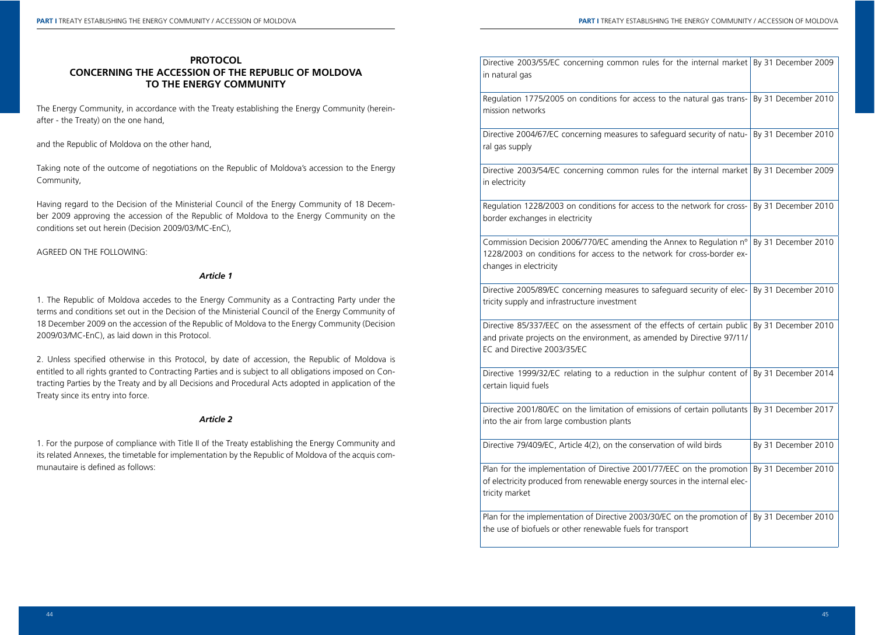# **PROTOCOL CONCERNING THE ACCESSION OF THE REPUBLIC OF MOLDOVA TO THE ENERGY COMMUNITY**

The Energy Community, in accordance with the Treaty establishing the Energy Community (hereinafter - the Treaty) on the one hand,

and the Republic of Moldova on the other hand,

Taking note of the outcome of negotiations on the Republic of Moldova's accession to the Energy Community,

Having regard to the Decision of the Ministerial Council of the Energy Community of 18 December 2009 approving the accession of the Republic of Moldova to the Energy Community on the conditions set out herein (Decision 2009/03/MC-EnC),

# AGREED ON THE FOLLOWING:

## *Article 1*

1. The Republic of Moldova accedes to the Energy Community as a Contracting Party under the terms and conditions set out in the Decision of the Ministerial Council of the Energy Community of 18 December 2009 on the accession of the Republic of Moldova to the Energy Community (Decision 2009/03/MC-EnC), as laid down in this Protocol.

2. Unless specified otherwise in this Protocol, by date of accession, the Republic of Moldova is entitled to all rights granted to Contracting Parties and is subject to all obligations imposed on Contracting Parties by the Treaty and by all Decisions and Procedural Acts adopted in application of the Treaty since its entry into force.

### *Article 2*

1. For the purpose of compliance with Title II of the Treaty establishing the Energy Community and its related Annexes, the timetable for implementation by the Republic of Moldova of the acquis communautaire is defined as follows:

| Directive 2003/55/EC concerning common rules for the internal market By 31 December 2009                                                                                                              |                     |
|-------------------------------------------------------------------------------------------------------------------------------------------------------------------------------------------------------|---------------------|
| in natural gas                                                                                                                                                                                        |                     |
| Regulation 1775/2005 on conditions for access to the natural gas trans-<br>mission networks                                                                                                           | By 31 December 2010 |
| Directive 2004/67/EC concerning measures to safeguard security of natu-<br>ral gas supply                                                                                                             | By 31 December 2010 |
| Directive 2003/54/EC concerning common rules for the internal market By 31 December 2009<br>in electricity                                                                                            |                     |
| Regulation 1228/2003 on conditions for access to the network for cross-<br>border exchanges in electricity                                                                                            | By 31 December 2010 |
| Commission Decision 2006/770/EC amending the Annex to Regulation n°<br>1228/2003 on conditions for access to the network for cross-border ex-<br>changes in electricity                               | By 31 December 2010 |
| Directive 2005/89/EC concerning measures to safeguard security of elec-<br>tricity supply and infrastructure investment                                                                               | By 31 December 2010 |
| Directive 85/337/EEC on the assessment of the effects of certain public By 31 December 2010<br>and private projects on the environment, as amended by Directive 97/11/<br>EC and Directive 2003/35/EC |                     |
| Directive 1999/32/EC relating to a reduction in the sulphur content of By 31 December 2014<br>certain liquid fuels                                                                                    |                     |
| Directive 2001/80/EC on the limitation of emissions of certain pollutants By 31 December 2017<br>into the air from large combustion plants                                                            |                     |
| Directive 79/409/EC, Article 4(2), on the conservation of wild birds                                                                                                                                  | By 31 December 2010 |
| Plan for the implementation of Directive 2001/77/EEC on the promotion<br>of electricity produced from renewable energy sources in the internal elec-<br>tricity market                                | By 31 December 2010 |
| Plan for the implementation of Directive 2003/30/EC on the promotion of By 31 December 2010<br>the use of biofuels or other renewable fuels for transport                                             |                     |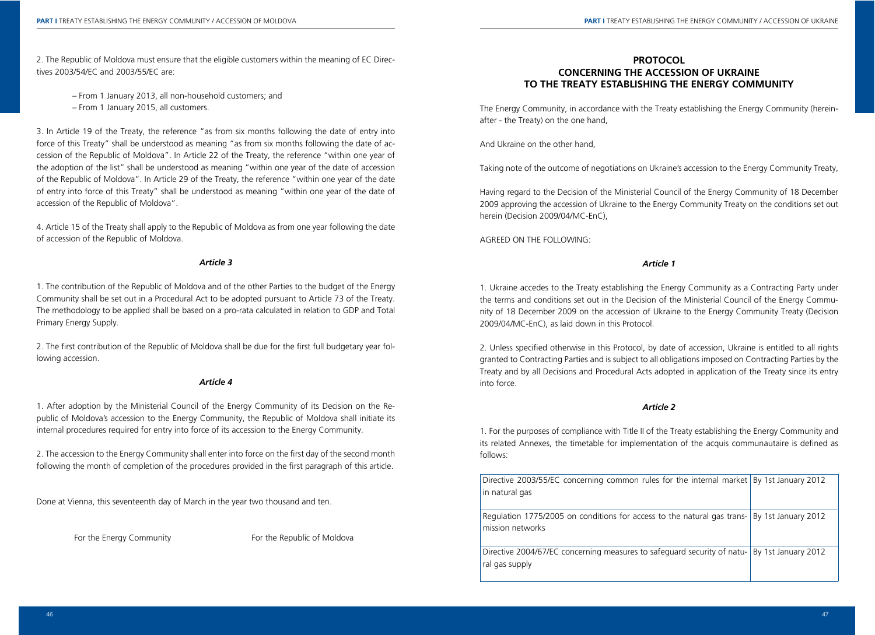2. The Republic of Moldova must ensure that the eligible customers within the meaning of EC Directives 2003/54/EC and 2003/55/EC are:

– From 1 January 2013, all non-household customers; and – From 1 January 2015, all customers.

3. In Article 19 of the Treaty, the reference "as from six months following the date of entry into force of this Treaty" shall be understood as meaning "as from six months following the date of accession of the Republic of Moldova". In Article 22 of the Treaty, the reference "within one year of the adoption of the list" shall be understood as meaning "within one year of the date of accession of the Republic of Moldova". In Article 29 of the Treaty, the reference "within one year of the date of entry into force of this Treaty" shall be understood as meaning "within one year of the date of accession of the Republic of Moldova".

4. Article 15 of the Treaty shall apply to the Republic of Moldova as from one year following the date of accession of the Republic of Moldova.

# *Article 3*

1. The contribution of the Republic of Moldova and of the other Parties to the budget of the Energy Community shall be set out in a Procedural Act to be adopted pursuant to Article 73 of the Treaty. The methodology to be applied shall be based on a pro-rata calculated in relation to GDP and Total Primary Energy Supply.

2. The first contribution of the Republic of Moldova shall be due for the first full budgetary year following accession.

#### *Article 4*

1. After adoption by the Ministerial Council of the Energy Community of its Decision on the Republic of Moldova's accession to the Energy Community, the Republic of Moldova shall initiate its internal procedures required for entry into force of its accession to the Energy Community.

2. The accession to the Energy Community shall enter into force on the first day of the second month following the month of completion of the procedures provided in the first paragraph of this article.

Done at Vienna, this seventeenth day of March in the year two thousand and ten.

For the Energy Community **For the Republic of Moldova** 

# **PROTOCOL CONCERNING THE ACCESSION OF UKRAINE TO THE TREATY ESTABLISHING THE ENERGY COMMUNITY**

The Energy Community, in accordance with the Treaty establishing the Energy Community (hereinafter - the Treaty) on the one hand,

And Ukraine on the other hand,

Taking note of the outcome of negotiations on Ukraine's accession to the Energy Community Treaty,

Having regard to the Decision of the Ministerial Council of the Energy Community of 18 December 2009 approving the accession of Ukraine to the Energy Community Treaty on the conditions set out herein (Decision 2009/04/MC-EnC),

AGREED ON THE FOLLOWING:

## *Article 1*

1. Ukraine accedes to the Treaty establishing the Energy Community as a Contracting Party under the terms and conditions set out in the Decision of the Ministerial Council of the Energy Community of 18 December 2009 on the accession of Ukraine to the Energy Community Treaty (Decision 2009/04/MC-EnC), as laid down in this Protocol.

2. Unless specified otherwise in this Protocol, by date of accession, Ukraine is entitled to all rights granted to Contracting Parties and is subject to all obligations imposed on Contracting Parties by the Treaty and by all Decisions and Procedural Acts adopted in application of the Treaty since its entry into force.

#### *Article 2*

1. For the purposes of compliance with Title II of the Treaty establishing the Energy Community and its related Annexes, the timetable for implementation of the acquis communautaire is defined as follows:

| Directive 2003/55/EC concerning common rules for the internal market By 1st January 2012      |  |
|-----------------------------------------------------------------------------------------------|--|
| in natural gas                                                                                |  |
|                                                                                               |  |
| Regulation 1775/2005 on conditions for access to the natural gas trans- By 1st January 2012   |  |
| mission networks                                                                              |  |
|                                                                                               |  |
| Directive 2004/67/EC concerning measures to safeguard security of natu-   By 1st January 2012 |  |
| ral gas supply                                                                                |  |
|                                                                                               |  |